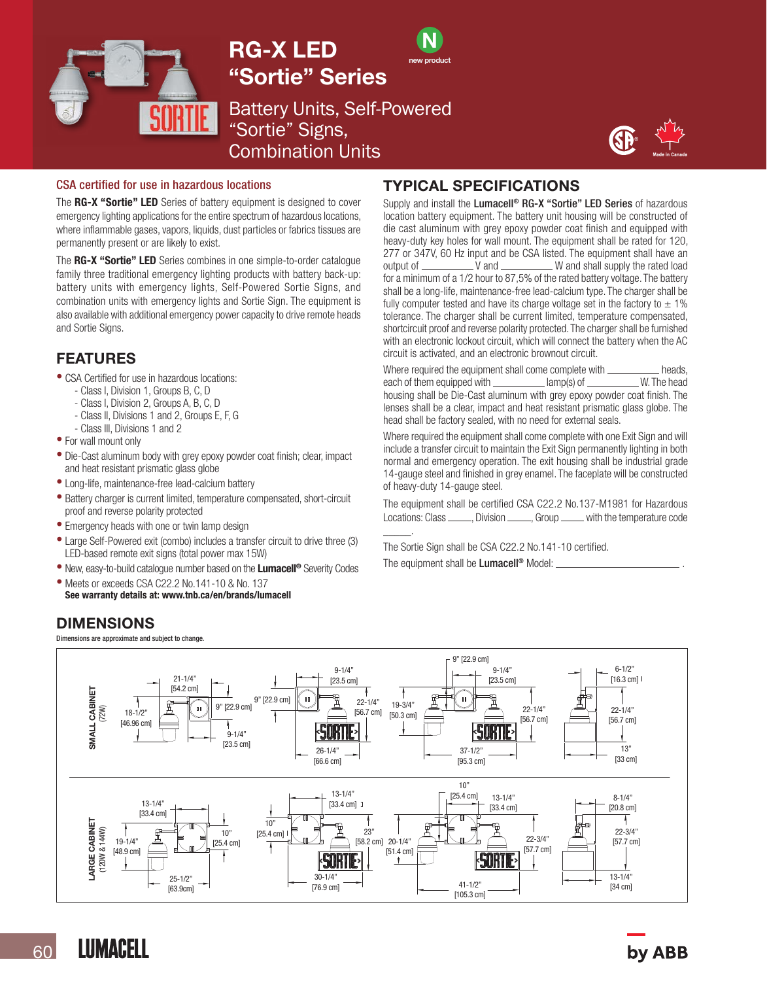





Battery Units, Self-Powered "Sortie" Signs, Combination Units



#### CSA certified for use in hazardous locations

The RG-X "Sortie" LED Series of battery equipment is designed to cover emergency lighting applications for the entire spectrum of hazardous locations, where inflammable gases, vapors, liquids, dust particles or fabrics tissues are permanently present or are likely to exist.

The RG-X "Sortie" LED Series combines in one simple-to-order catalogue family three traditional emergency lighting products with battery back-up: battery units with emergency lights, Self-Powered Sortie Signs, and combination units with emergency lights and Sortie Sign. The equipment is also available with additional emergency power capacity to drive remote heads and Sortie Signs.

# FEATURES

- CSA Certified for use in hazardous locations:
	- Class I, Division 1, Groups B, C, D
	- Class I, Division 2, Groups A, B, C, D
	- Class II, Divisions 1 and 2, Groups E, F, G
	- Class III, Divisions 1 and 2
- For wall mount only
- Die-Cast aluminum body with grey epoxy powder coat finish; clear, impact and heat resistant prismatic glass globe
- Long-life, maintenance-free lead-calcium battery
- Battery charger is current limited, temperature compensated, short-circuit proof and reverse polarity protected
- Emergency heads with one or twin lamp design
- Large Self-Powered exit (combo) includes a transfer circuit to drive three (3) LED-based remote exit signs (total power max 15W)
- New, easy-to-build catalogue number based on the Lumacell® Severity Codes
- Meets or exceeds CSA C22.2 No.141-10 & No. 137 See warranty details at: www.tnb.ca/en/brands/lumacell

# DIMENSIONS

Dimensions are approximate and subject to change.

# TYPICAL SPECIFICATIONS

Supply and install the Lumacell<sup>®</sup> RG-X "Sortie" LED Series of hazardous location battery equipment. The battery unit housing will be constructed of die cast aluminum with grey epoxy powder coat finish and equipped with heavy-duty key holes for wall mount. The equipment shall be rated for 120, 277 or 347V, 60 Hz input and be CSA listed. The equipment shall have an  $W$  and shall supply the rated load for a minimum of a 1/2 hour to 87,5% of the rated battery voltage. The battery shall be a long-life, maintenance-free lead-calcium type. The charger shall be fully computer tested and have its charge voltage set in the factory to  $\pm$  1% tolerance. The charger shall be current limited, temperature compensated, shortcircuit proof and reverse polarity protected. The charger shall be furnished with an electronic lockout circuit, which will connect the battery when the AC circuit is activated, and an electronic brownout circuit.

Where required the equipment shall come complete with \_\_\_\_\_\_\_\_\_\_\_ heads,<br>each of them equipped with \_\_\_\_\_\_\_\_\_\_\_\_\_ lamp(s) of \_\_\_\_\_\_\_\_\_\_ W. The head each of them equipped with  $$ housing shall be Die-Cast aluminum with grey epoxy powder coat finish. The lenses shall be a clear, impact and heat resistant prismatic glass globe. The head shall be factory sealed, with no need for external seals.

Where required the equipment shall come complete with one Exit Sign and will include a transfer circuit to maintain the Exit Sign permanently lighting in both normal and emergency operation. The exit housing shall be industrial grade 14-gauge steel and finished in grey enamel. The faceplate will be constructed of heavy-duty 14-gauge steel.

The equipment shall be certified CSA C22.2 No.137-M1981 for Hazardous Locations: Class \_\_\_\_\_\_, Division \_\_\_\_\_, Group \_\_\_\_\_ with the temperature code

The Sortie Sign shall be CSA C22.2 No.141-10 certified. The equipment shall be Lumacell<sup>®</sup> Model:



\_\_\_\_\_.